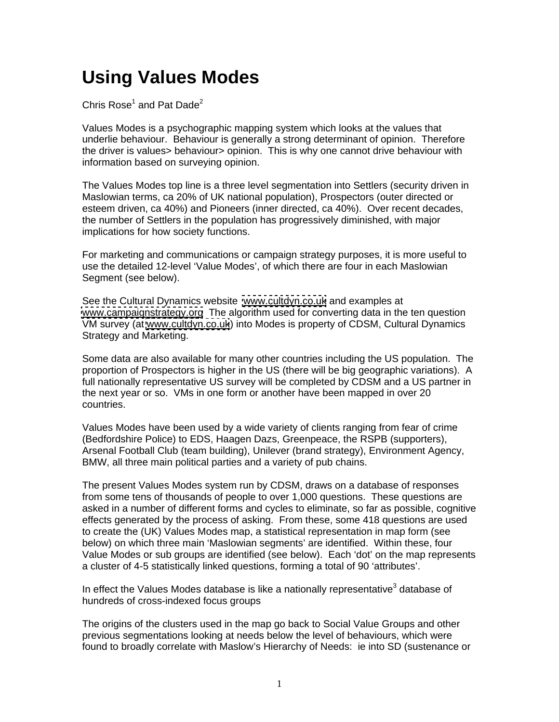# **Using Values Modes**

Chris Rose<sup>1</sup> and Pat Dade<sup>2</sup>  $\hbox{\large \it Chiral}$  . The contract of the contract of the contract of the contract of the contract of the contract of the contract of the contract of the contract of the contract of the contract of and Pat Dade<sup>2</sup> and Pat Dade<sup>2</sup> and Pat Dade<sup>2</sup> and Pat Dade<sup>2</sup> and Pat Dade<sup>2</sup> and Pat Dade<sup>2</sup>

Values Modes is a psychographic mapping system which looks at the values that underlie behaviour. Behaviour is generally a strong determinant of opinion. Therefore the driver is values> behaviour> opinion. This is why one cannot drive behaviour with information based on surveying opinion.

The Values Modes top line is a three level segmentation into Settlers (security driven in Maslowian terms, ca 20% of UK national population), Prospectors (outer directed or esteem driven, ca 40%) and Pioneers (inner directed, ca 40%). Over recent decades, the number of Settlers in the population has progressively diminished, with major implications for how society functions.

For marketing and communications or campaign strategy purposes, it is more useful to use the detailed 12-level 'Value Modes', of which there are four in each Maslowian Segment (see below).

See the Cultural Dynamics website [www.cultdyn.co.uk](http://www.cultdyn.co.uk) and examples at [www.campaignstrategy.org](http://www.campaignstrategy.org) The algorithm used for converting data in the ten question VM survey (at [www.cultdyn.co.uk](http://www.cultdyn.co.uk)) into Modes is property of CDSM, Cultural Dynamics Strategy and Marketing.

Some data are also available for many other countries including the US population. The proportion of Prospectors is higher in the US (there will be big geographic variations). A full nationally representative US survey will be completed by CDSM and a US partner in the next year or so. VMs in one form or another have been mapped in over 20 countries. The contract of the contract of the contract of the contract of the contract of the contract of the contract of the contract of the contract of the contract of the contract of the contract of the contract of the

Values Modes have been used by a wide variety of clients ranging from fear of crime (Bedfordshire Police) to EDS, Haagen Dazs, Greenpeace, the RSPB (supporters), Arsenal Football Club (team building), Unilever (brand strategy), Environment Agency, BMW, all three main political parties and a variety of pub chains.

The present Values Modes system run by CDSM, draws on a database of responses from some tens of thousands of people to over 1,000 questions. These questions are asked in a number of different forms and cycles to eliminate, so far as possible, cognitive effects generated by the process of asking. From these, some 418 questions are used to create the (UK) Values Modes map, a statistical representation in map form (see below) on which three main 'Maslowian segments' are identified. Within these, four Value Modes or sub groups are identified (see below). Each 'dot' on the map represents a cluster of 4-5 statistically linked questions, forming a total of 90 'attributes'.

In effect the Values Modes database is like a nationally representative $3$  database of database of hundreds of cross-indexed focus groups

The origins of the clusters used in the map go back to Social Value Groups and other previous segmentations looking at needs below the level of behaviours, which were found to broadly correlate with Maslow's Hierarchy of Needs: ie into SD (sustenance or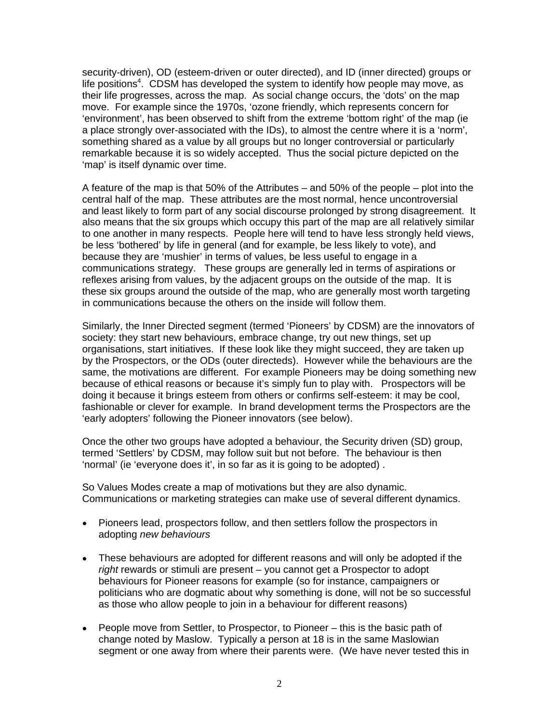security-driven), OD (esteem-driven or outer directed), and ID (inner directed) groups or life positions<sup>4</sup>. CDSM has developed the system to identify how people may move, as their life progresses, across the map. As social change occurs, the 'dots' on the map move. For example since the 1970s, 'ozone friendly, which represents concern for 'environment', has been observed to shift from the extreme 'bottom right' of the map (ie a place strongly over-associated with the IDs), to almost the centre where it is a 'norm', something shared as a value by all groups but no longer controversial or particularly remarkable because it is so widely accepted. Thus the social picture depicted on the 'map' is itself dynamic over time.

A feature of the map is that 50% of the Attributes – and 50% of the people – plot into the central half of the map. These attributes are the most normal, hence uncontroversial and least likely to form part of any social discourse prolonged by strong disagreement. It also means that the six groups which occupy this part of the map are all relatively similar to one another in many respects. People here will tend to have less strongly held views, be less 'bothered' by life in general (and for example, be less likely to vote), and because they are 'mushier' in terms of values, be less useful to engage in a communications strategy. These groups are generally led in terms of aspirations or reflexes arising from values, by the adjacent groups on the outside of the map. It is these six groups around the outside of the map, who are generally most worth targeting in communications because the others on the inside will follow them.

Similarly, the Inner Directed segment (termed 'Pioneers' by CDSM) are the innovators of society: they start new behaviours, embrace change, try out new things, set up organisations, start initiatives. If these look like they might succeed, they are taken up by the Prospectors, or the ODs (outer directeds). However while the behaviours are the same, the motivations are different. For example Pioneers may be doing something new because of ethical reasons or because it's simply fun to play with. Prospectors will be doing it because it brings esteem from others or confirms self-esteem: it may be cool, fashionable or clever for example. In brand development terms the Prospectors are the 'early adopters' following the Pioneer innovators (see below).

Once the other two groups have adopted a behaviour, the Security driven (SD) group, termed 'Settlers' by CDSM, may follow suit but not before. The behaviour is then 'normal' (ie 'everyone does it', in so far as it is going to be adopted) .

So Values Modes create a map of motivations but they are also dynamic. Communications or marketing strategies can make use of several different dynamics.

- Pioneers lead, prospectors follow, and then settlers follow the prospectors in adopting new behaviours
- These behaviours are adopted for different reasons and will only be adopted if the right rewards or stimuli are present – you cannot get a Prospector to adopt behaviours for Pioneer reasons for example (so for instance, campaigners or politicians who are dogmatic about why something is done, will not be so successful as those who allow people to join in a behaviour for different reasons)
- People move from Settler, to Prospector, to Pioneer this is the basic path of change noted by Maslow. Typically a person at 18 is in the same Maslowian segment or one away from where their parents were. (We have never tested this in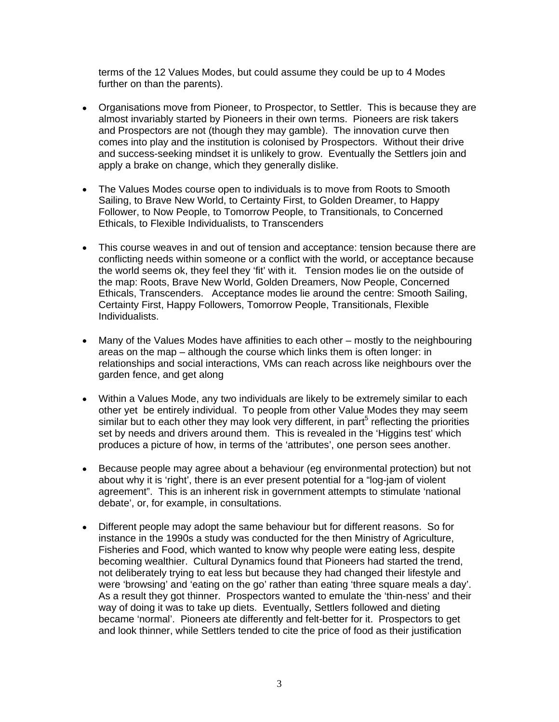terms of the 12 Values Modes, but could assume they could be up to 4 Modes further on than the parents).

- Organisations move from Pioneer, to Prospector, to Settler. This is because they are almost invariably started by Pioneers in their own terms. Pioneers are risk takers and Prospectors are not (though they may gamble). The innovation curve then comes into play and the institution is colonised by Prospectors. Without their drive and success-seeking mindset it is unlikely to grow. Eventually the Settlers join and apply a brake on change, which they generally dislike.
- The Values Modes course open to individuals is to move from Roots to Smooth Sailing, to Brave New World, to Certainty First, to Golden Dreamer, to Happy Follower, to Now People, to Tomorrow People, to Transitionals, to Concerned Ethicals, to Flexible Individualists, to Transcenders
- This course weaves in and out of tension and acceptance: tension because there are conflicting needs within someone or a conflict with the world, or acceptance because the world seems ok, they feel they 'fit' with it. Tension modes lie on the outside of the map: Roots, Brave New World, Golden Dreamers, Now People, Concerned Ethicals, Transcenders. Acceptance modes lie around the centre: Smooth Sailing, Certainty First, Happy Followers, Tomorrow People, Transitionals, Flexible Individualists.
- Many of the Values Modes have affinities to each other mostly to the neighbouring areas on the map – although the course which links them is often longer: in relationships and social interactions, VMs can reach across like neighbours over the garden fence, and get along
- Within a Values Mode, any two individuals are likely to be extremely similar to each other yet be entirely individual. To people from other Value Modes they may seem similar but to each other they may look very different, in part<sup>5</sup> reflecting the priorities reflecting the priorities set by needs and drivers around them. This is revealed in the 'Higgins test' which produces a picture of how, in terms of the 'attributes', one person sees another.
- Because people may agree about a behaviour (eg environmental protection) but not about why it is 'right', there is an ever present potential for a "log-jam of violent agreement". This is an inherent risk in government attempts to stimulate 'national debate', or, for example, in consultations.
- Different people may adopt the same behaviour but for different reasons. So for  $\bullet$ instance in the 1990s a study was conducted for the then Ministry of Agriculture, Fisheries and Food, which wanted to know why people were eating less, despite becoming wealthier. Cultural Dynamics found that Pioneers had started the trend, not deliberately trying to eat less but because they had changed their lifestyle and were 'browsing' and 'eating on the go' rather than eating 'three square meals a day'. As a result they got thinner. Prospectors wanted to emulate the 'thin-ness' and their way of doing it was to take up diets. Eventually, Settlers followed and dieting became 'normal'. Pioneers ate differently and felt-better for it. Prospectors to get and look thinner, while Settlers tended to cite the price of food as their justification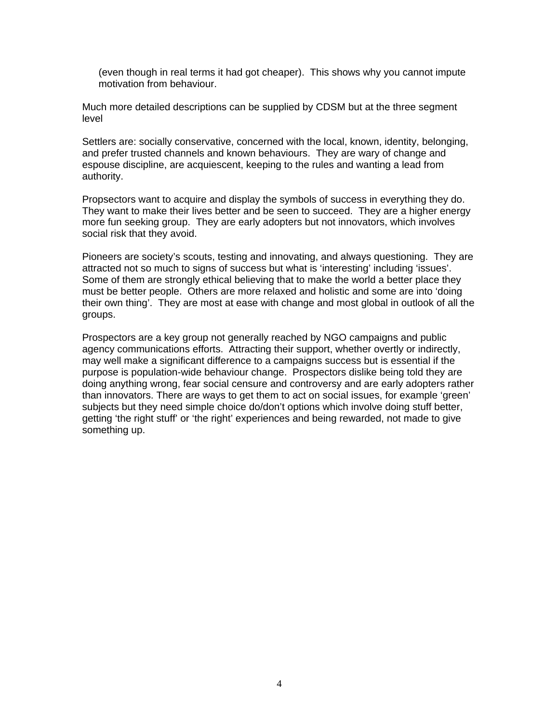(even though in real terms it had got cheaper). This shows why you cannot impute motivation from behaviour.

Much more detailed descriptions can be supplied by CDSM but at the three segment level

Settlers are: socially conservative, concerned with the local, known, identity, belonging, and prefer trusted channels and known behaviours. They are wary of change and espouse discipline, are acquiescent, keeping to the rules and wanting a lead from authority.

Propsectors want to acquire and display the symbols of success in everything they do. They want to make their lives better and be seen to succeed. They are a higher energy more fun seeking group. They are early adopters but not innovators, which involves social risk that they avoid.

Pioneers are society's scouts, testing and innovating, and always questioning. They are attracted not so much to signs of success but what is 'interesting' including 'issues'. Some of them are strongly ethical believing that to make the world a better place they must be better people. Others are more relaxed and holistic and some are into 'doing their own thing'. They are most at ease with change and most global in outlook of all the groups. The contract of the contract of the contract of the contract of the contract of the contract of the contract of the contract of the contract of the contract of the contract of the contract of the contract of the co

Prospectors are a key group not generally reached by NGO campaigns and public agency communications efforts. Attracting their support, whether overtly or indirectly, may well make a significant difference to a campaigns success but is essential if the purpose is population-wide behaviour change. Prospectors dislike being told they are doing anything wrong, fear social censure and controversy and are early adopters rather than innovators. There are ways to get them to act on social issues, for example 'green' subjects but they need simple choice do/don't options which involve doing stuff better, getting 'the right stuff' or 'the right' experiences and being rewarded, not made to give something up.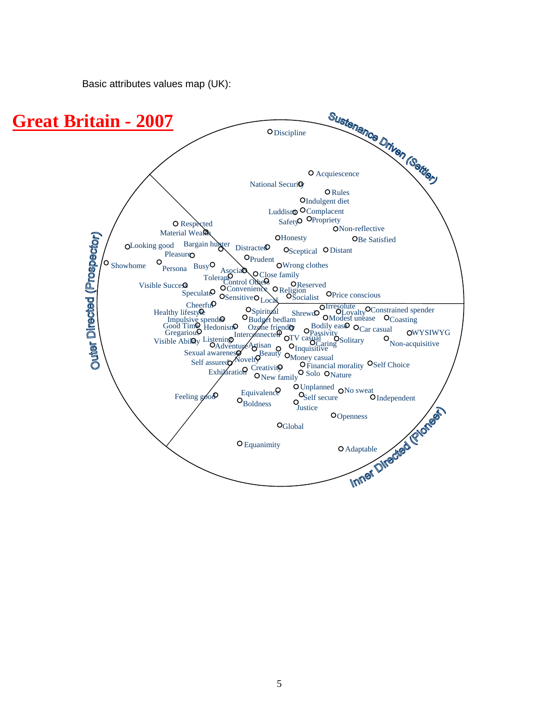Basic attributes values map (UK):

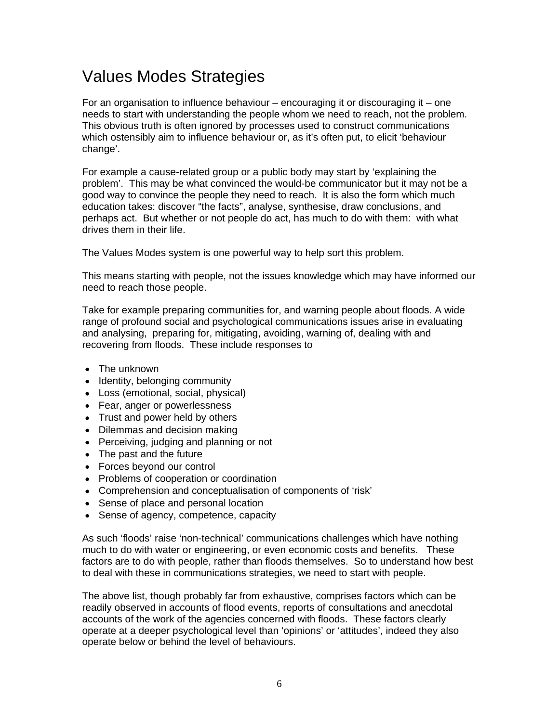# Values Modes Strategies

For an organisation to influence behaviour – encouraging it or discouraging it – one needs to start with understanding the people whom we need to reach, not the problem. This obvious truth is often ignored by processes used to construct communications which ostensibly aim to influence behaviour or, as it's often put, to elicit 'behaviour change'.

For example a cause-related group or a public body may start by 'explaining the problem'. This may be what convinced the would-be communicator but it may not be a good way to convince the people they need to reach. It is also the form which much education takes: discover "the facts", analyse, synthesise, draw conclusions, and perhaps act. But whether or not people do act, has much to do with them: with what drives them in their life.

The Values Modes system is one powerful way to help sort this problem.

This means starting with people, not the issues knowledge which may have informed our need to reach those people.

Take for example preparing communities for, and warning people about floods. A wide range of profound social and psychological communications issues arise in evaluating and analysing, preparing for, mitigating, avoiding, warning of, dealing with and recovering from floods. These include responses to

- The unknown
- Identity, belonging community
- Loss (emotional, social, physical)
- Fear, anger or powerlessness
- Trust and power held by others
- Dilemmas and decision making
- Perceiving, judging and planning or not
- The past and the future experience of the state of the state of the state of the state of the state of the state of the state of the state of the state of the state of the state of the state of the state of the state of th
- Forces beyond our control
- Problems of cooperation or coordination
- Comprehension and conceptualisation of components of 'risk'
- Sense of place and personal location
- Sense of agency, competence, capacity

As such 'floods' raise 'non-technical' communications challenges which have nothing much to do with water or engineering, or even economic costs and benefits. These factors are to do with people, rather than floods themselves. So to understand how best to deal with these in communications strategies, we need to start with people.

The above list, though probably far from exhaustive, comprises factors which can be readily observed in accounts of flood events, reports of consultations and anecdotal accounts of the work of the agencies concerned with floods. These factors clearly operate at a deeper psychological level than 'opinions' or 'attitudes', indeed they also operate below or behind the level of behaviours.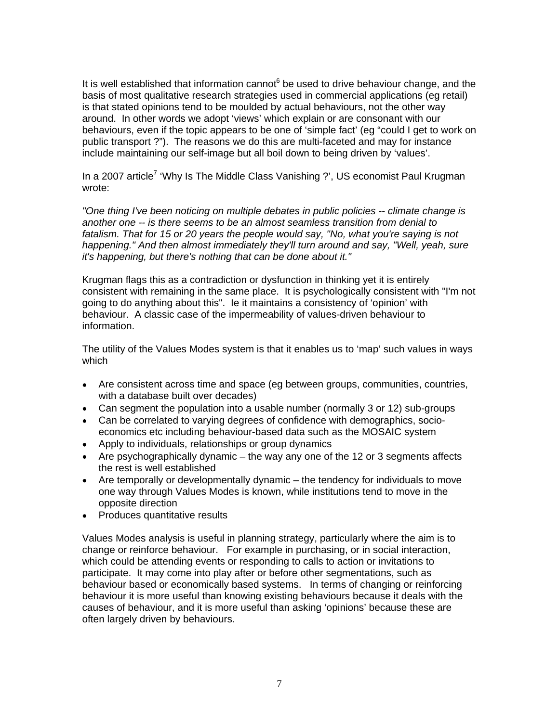It is well established that information cannot<sup>6</sup> be used to drive behaviour change, and the basis of most qualitative research strategies used in commercial applications (eg retail) is that stated opinions tend to be moulded by actual behaviours, not the other way around. In other words we adopt 'views' which explain or are consonant with our behaviours, even if the topic appears to be one of 'simple fact' (eg "could I get to work on public transport ?"). The reasons we do this are multi-faceted and may for instance include maintaining our self-image but all boil down to being driven by 'values'.

In a 2007 article<sup>7</sup> 'Why Is The Middle Class Vanishing ?', US economist Paul Krugman wrote: when the contract of the contract of the contract of the contract of the contract of the contract of the contract of the contract of the contract of the contract of the contract of the contract of the contract of th

"One thing I've been noticing on multiple debates in public policies -- climate change is another one -- is there seems to be an almost seamless transition from denial to fatalism. That for 15 or 20 years the people would say, "No, what you're saying is not happening." And then almost immediately they'll turn around and say, "Well, yeah, sure it's happening, but there's nothing that can be done about it."

Krugman flags this as a contradiction or dysfunction in thinking yet it is entirely consistent with remaining in the same place. It is psychologically consistent with "I'm not going to do anything about this". Ie it maintains a consistency of 'opinion' with behaviour. A classic case of the impermeability of values-driven behaviour to information.

The utility of the Values Modes system is that it enables us to 'map' such values in ways which which the contract of the contract of the contract of the contract of the contract of the contract of the

- Are consistent across time and space (eg between groups, communities, countries, with a database built over decades)
- Can segment the population into a usable number (normally 3 or 12) sub-groups
- Can be correlated to varying degrees of confidence with demographics, socioeconomics etc including behaviour-based data such as the MOSAIC system
- Apply to individuals, relationships or group dynamics
- Are psychographically dynamic the way any one of the 12 or 3 segments affects the rest is well established
- Are temporally or developmentally dynamic the tendency for individuals to move one way through Values Modes is known, while institutions tend to move in the opposite direction
- Produces quantitative results

Values Modes analysis is useful in planning strategy, particularly where the aim is to change or reinforce behaviour. For example in purchasing, or in social interaction, which could be attending events or responding to calls to action or invitations to participate. It may come into play after or before other segmentations, such as behaviour based or economically based systems. In terms of changing or reinforcing behaviour it is more useful than knowing existing behaviours because it deals with the causes of behaviour, and it is more useful than asking 'opinions' because these are often largely driven by behaviours.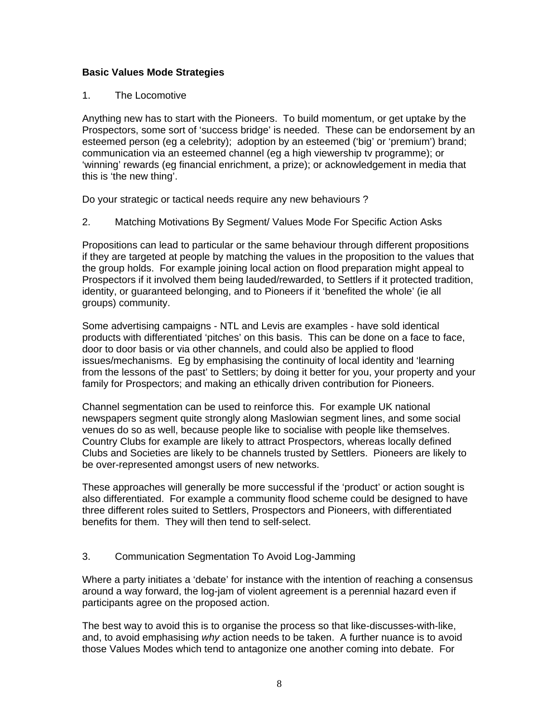# **Basic Values Mode Strategies**

## 1. The Locomotive

Anything new has to start with the Pioneers. To build momentum, or get uptake by the Prospectors, some sort of 'success bridge' is needed. These can be endorsement by an esteemed person (eg a celebrity); adoption by an esteemed ('big' or 'premium') brand; communication via an esteemed channel (eg a high viewership tv programme); or 'winning' rewards (eg financial enrichment, a prize); or acknowledgement in media that this is 'the new thing'.

Do your strategic or tactical needs require any new behaviours ?

2. Matching Motivations By Segment/ Values Mode For Specific Action Asks

Propositions can lead to particular or the same behaviour through different propositions if they are targeted at people by matching the values in the proposition to the values that the group holds. For example joining local action on flood preparation might appeal to Prospectors if it involved them being lauded/rewarded, to Settlers if it protected tradition, identity, or guaranteed belonging, and to Pioneers if it 'benefited the whole' (ie all groups) community.

Some advertising campaigns - NTL and Levis are examples - have sold identical products with differentiated 'pitches' on this basis. This can be done on a face to face, door to door basis or via other channels, and could also be applied to flood issues/mechanisms. Eg by emphasising the continuity of local identity and 'learning from the lessons of the past' to Settlers; by doing it better for you, your property and your family for Prospectors; and making an ethically driven contribution for Pioneers.

Channel segmentation can be used to reinforce this. For example UK national newspapers segment quite strongly along Maslowian segment lines, and some social venues do so as well, because people like to socialise with people like themselves. Country Clubs for example are likely to attract Prospectors, whereas locally defined Clubs and Societies are likely to be channels trusted by Settlers. Pioneers are likely to be over-represented amongst users of new networks.

These approaches will generally be more successful if the 'product' or action sought is also differentiated. For example a community flood scheme could be designed to have three different roles suited to Settlers, Prospectors and Pioneers, with differentiated benefits for them. They will then tend to self-select.

# 3. Communication Segmentation To Avoid Log-Jamming

Where a party initiates a 'debate' for instance with the intention of reaching a consensus around a way forward, the log-jam of violent agreement is a perennial hazard even if participants agree on the proposed action.

The best way to avoid this is to organise the process so that like-discusses-with-like, and, to avoid emphasising why action needs to be taken. A further nuance is to avoid those Values Modes which tend to antagonize one another coming into debate. For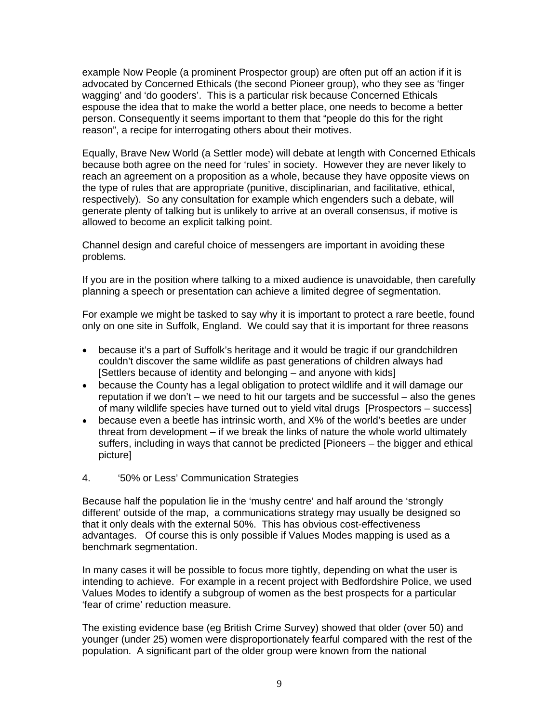example Now People (a prominent Prospector group) are often put off an action if it is advocated by Concerned Ethicals (the second Pioneer group), who they see as 'finger wagging' and 'do gooders'. This is a particular risk because Concerned Ethicals espouse the idea that to make the world a better place, one needs to become a better person. Consequently it seems important to them that "people do this for the right reason", a recipe for interrogating others about their motives.

Equally, Brave New World (a Settler mode) will debate at length with Concerned Ethicals because both agree on the need for 'rules' in society. However they are never likely to reach an agreement on a proposition as a whole, because they have opposite views on the type of rules that are appropriate (punitive, disciplinarian, and facilitative, ethical, respectively). So any consultation for example which engenders such a debate, will generate plenty of talking but is unlikely to arrive at an overall consensus, if motive is allowed to become an explicit talking point.

Channel design and careful choice of messengers are important in avoiding these problems. The contract of the contract of the contract of the contract of the contract of the contract of the contract of the contract of the contract of the contract of the contract of the contract of the contract of the

If you are in the position where talking to a mixed audience is unavoidable, then carefully planning a speech or presentation can achieve a limited degree of segmentation.

For example we might be tasked to say why it is important to protect a rare beetle, found only on one site in Suffolk, England. We could say that it is important for three reasons

- because it's a part of Suffolk's heritage and it would be tragic if our grandchildren couldn't discover the same wildlife as past generations of children always had [Settlers because of identity and belonging – and anyone with kids]
- because the County has a legal obligation to protect wildlife and it will damage our reputation if we don't – we need to hit our targets and be successful – also the genes of many wildlife species have turned out to yield vital drugs [Prospectors – success]
- because even a beetle has intrinsic worth, and X% of the world's beetles are under threat from development – if we break the links of nature the whole world ultimately suffers, including in ways that cannot be predicted [Pioneers – the bigger and ethical picture]
- 4. '50% or Less' Communication Strategies

Because half the population lie in the 'mushy centre' and half around the 'strongly different' outside of the map, a communications strategy may usually be designed so that it only deals with the external 50%. This has obvious cost-effectiveness advantages. Of course this is only possible if Values Modes mapping is used as a benchmark segmentation.

In many cases it will be possible to focus more tightly, depending on what the user is intending to achieve. For example in a recent project with Bedfordshire Police, we used Values Modes to identify a subgroup of women as the best prospects for a particular 'fear of crime' reduction measure.

The existing evidence base (eg British Crime Survey) showed that older (over 50) and younger (under 25) women were disproportionately fearful compared with the rest of the population. A significant part of the older group were known from the national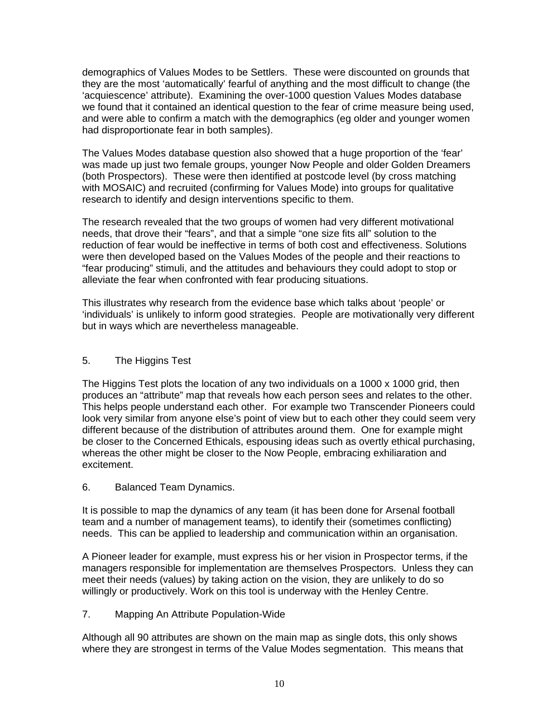demographics of Values Modes to be Settlers. These were discounted on grounds that they are the most 'automatically' fearful of anything and the most difficult to change (the 'acquiescence' attribute). Examining the over-1000 question Values Modes database we found that it contained an identical question to the fear of crime measure being used, and were able to confirm a match with the demographics (eg older and younger women had disproportionate fear in both samples).

The Values Modes database question also showed that a huge proportion of the 'fear' was made up just two female groups, younger Now People and older Golden Dreamers (both Prospectors). These were then identified at postcode level (by cross matching with MOSAIC) and recruited (confirming for Values Mode) into groups for qualitative research to identify and design interventions specific to them.

The research revealed that the two groups of women had very different motivational needs, that drove their "fears", and that a simple "one size fits all" solution to the reduction of fear would be ineffective in terms of both cost and effectiveness. Solutions were then developed based on the Values Modes of the people and their reactions to "fear producing" stimuli, and the attitudes and behaviours they could adopt to stop or alleviate the fear when confronted with fear producing situations.

This illustrates why research from the evidence base which talks about 'people' or 'individuals' is unlikely to inform good strategies. People are motivationally very different but in ways which are nevertheless manageable.

### 5. The Higgins Test

The Higgins Test plots the location of any two individuals on a 1000 x 1000 grid, then produces an "attribute" map that reveals how each person sees and relates to the other. This helps people understand each other. For example two Transcender Pioneers could look very similar from anyone else's point of view but to each other they could seem very different because of the distribution of attributes around them. One for example might be closer to the Concerned Ethicals, espousing ideas such as overtly ethical purchasing, whereas the other might be closer to the Now People, embracing exhiliaration and excitement.

#### 6. Balanced Team Dynamics.

It is possible to map the dynamics of any team (it has been done for Arsenal football team and a number of management teams), to identify their (sometimes conflicting) needs. This can be applied to leadership and communication within an organisation.

A Pioneer leader for example, must express his or her vision in Prospector terms, if the managers responsible for implementation are themselves Prospectors. Unless they can meet their needs (values) by taking action on the vision, they are unlikely to do so willingly or productively. Work on this tool is underway with the Henley Centre.

7. Mapping An Attribute Population-Wide

Although all 90 attributes are shown on the main map as single dots, this only shows where they are strongest in terms of the Value Modes segmentation. This means that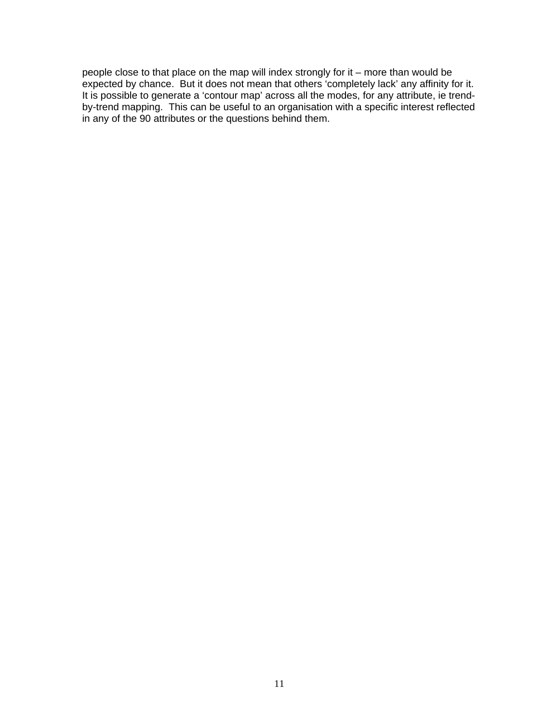people close to that place on the map will index strongly for it – more than would be expected by chance. But it does not mean that others 'completely lack' any affinity for it. It is possible to generate a 'contour map' across all the modes, for any attribute, ie trendby-trend mapping. This can be useful to an organisation with a specific interest reflected in any of the 90 attributes or the questions behind them.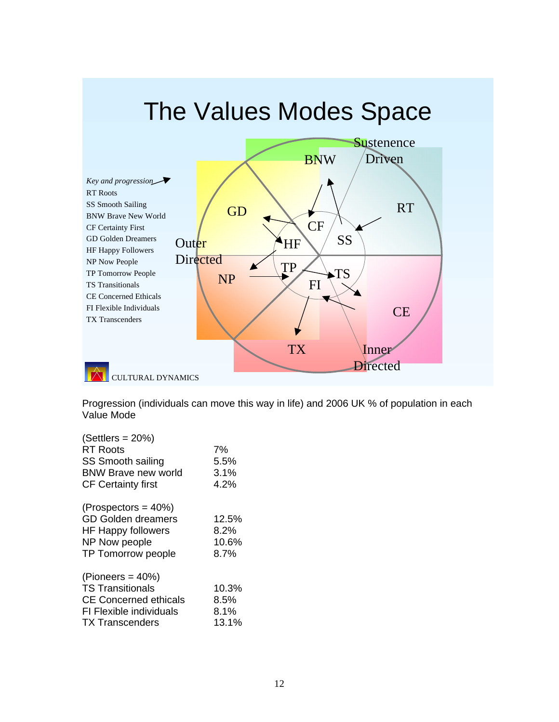



Progression (individuals can move this way in life) and 2006 UK % of population in each Value Mode

| (Settlers = 20%)<br>RT Roots | 7%            |  |  |  |  |
|------------------------------|---------------|--|--|--|--|
| SS Smooth sailing            |               |  |  |  |  |
| <b>BNW Brave new world</b>   | 5.5%<br>3.1%  |  |  |  |  |
| <b>CF Certainty first</b>    | 4.2%          |  |  |  |  |
| $($ Prospectors = 40% $)$    |               |  |  |  |  |
| GD Golden dreamers           | 12.5%         |  |  |  |  |
| HF Happy followers           | 8.2%          |  |  |  |  |
| NP Now people                | 10.6%         |  |  |  |  |
| TP Tomorrow people           | 8.7%          |  |  |  |  |
| (Pioneers = $40\%$ )         |               |  |  |  |  |
| <b>TS Transitionals</b>      |               |  |  |  |  |
| CE Concerned ethicals        | 10.3%<br>8.5% |  |  |  |  |
| FI Flexible individuals      | 8.1%          |  |  |  |  |
| <b>TX Transcenders</b>       | 13.1%         |  |  |  |  |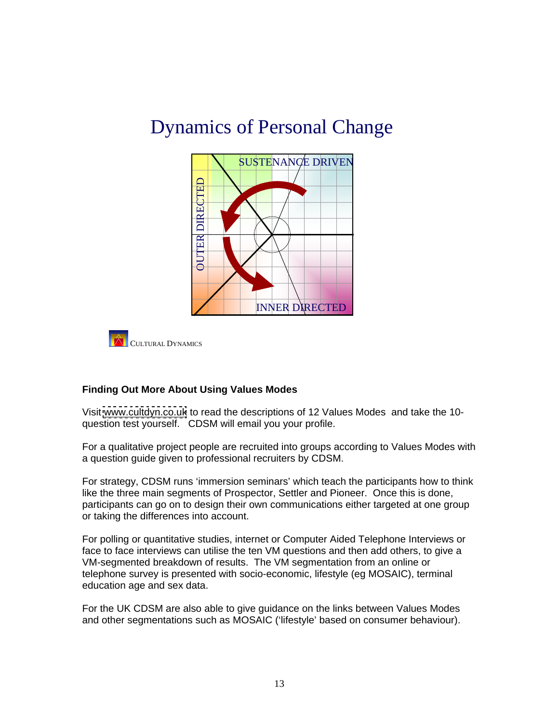# Dynamics of Personal Change





## **Finding Out More About Using Values Modes**

Visit [www.cultdyn.co.uk](http://www.cultdyn.co.uk) to read the descriptions of 12 Values Modes and take the 10 question test yourself. CDSM will email you your profile.

For a qualitative project people are recruited into groups according to Values Modes with a question guide given to professional recruiters by CDSM.

For strategy, CDSM runs 'immersion seminars' which teach the participants how to think like the three main segments of Prospector, Settler and Pioneer. Once this is done, participants can go on to design their own communications either targeted at one group or taking the differences into account.

For polling or quantitative studies, internet or Computer Aided Telephone Interviews or face to face interviews can utilise the ten VM questions and then add others, to give a VM-segmented breakdown of results. The VM segmentation from an online or telephone survey is presented with socio-economic, lifestyle (eg MOSAIC), terminal education age and sex data.

For the UK CDSM are also able to give guidance on the links between Values Modes and other segmentations such as MOSAIC ('lifestyle' based on consumer behaviour).